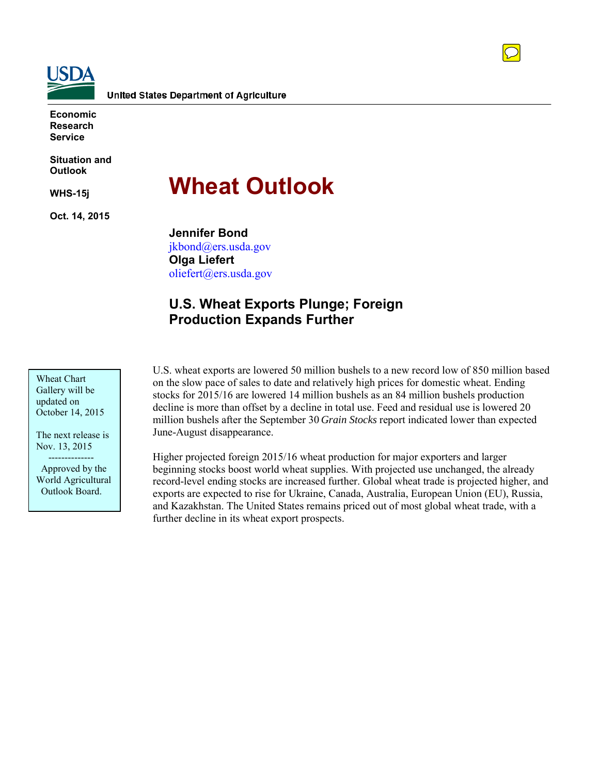

**Economic Research Service**

**Situation and Outlook**

**WHS-15j**

**Oct. 14, 2015**

# **Wheat Outlook**

**Jennifer Bond** jkbond@ers.usda.gov **Olga Liefert** [oliefert@ers.usda.gov](mailto:oliefert@ers.usda.gov)

# **U.S. Wheat Exports Plunge; Foreign Production Expands Further**

Wheat Chart Gallery will be updated on October 14, 2015

The next release is Nov. 13, 2015 --------------

 Approved by the World Agricultural Outlook Board.

U.S. wheat exports are lowered 50 million bushels to a new record low of 850 million based on the slow pace of sales to date and relatively high prices for domestic wheat. Ending stocks for 2015/16 are lowered 14 million bushels as an 84 million bushels production decline is more than offset by a decline in total use. Feed and residual use is lowered 20 million bushels after the September 30 *Grain Stocks* report indicated lower than expected June-August disappearance.

Higher projected foreign 2015/16 wheat production for major exporters and larger beginning stocks boost world wheat supplies. With projected use unchanged, the already record-level ending stocks are increased further. Global wheat trade is projected higher, and exports are expected to rise for Ukraine, Canada, Australia, European Union (EU), Russia, and Kazakhstan. The United States remains priced out of most global wheat trade, with a further decline in its wheat export prospects.

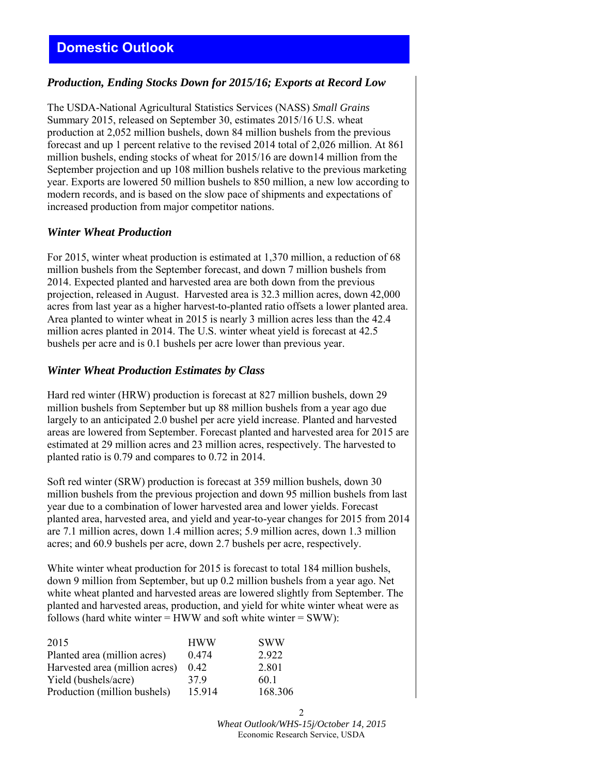# *Production, Ending Stocks Down for 2015/16; Exports at Record Low*

The USDA-National Agricultural Statistics Services (NASS) *Small Grains* Summary 2015, released on September 30, estimates 2015/16 U.S. wheat production at 2,052 million bushels, down 84 million bushels from the previous forecast and up 1 percent relative to the revised 2014 total of 2,026 million. At 861 million bushels, ending stocks of wheat for 2015/16 are down14 million from the September projection and up 108 million bushels relative to the previous marketing year. Exports are lowered 50 million bushels to 850 million, a new low according to modern records, and is based on the slow pace of shipments and expectations of increased production from major competitor nations.

## *Winter Wheat Production*

For 2015, winter wheat production is estimated at 1,370 million, a reduction of 68 million bushels from the September forecast, and down 7 million bushels from 2014. Expected planted and harvested area are both down from the previous projection, released in August. Harvested area is 32.3 million acres, down 42,000 acres from last year as a higher harvest-to-planted ratio offsets a lower planted area. Area planted to winter wheat in 2015 is nearly 3 million acres less than the 42.4 million acres planted in 2014. The U.S. winter wheat yield is forecast at 42.5 bushels per acre and is 0.1 bushels per acre lower than previous year.

## *Winter Wheat Production Estimates by Class*

Hard red winter (HRW) production is forecast at 827 million bushels, down 29 million bushels from September but up 88 million bushels from a year ago due largely to an anticipated 2.0 bushel per acre yield increase. Planted and harvested areas are lowered from September. Forecast planted and harvested area for 2015 are estimated at 29 million acres and 23 million acres, respectively. The harvested to planted ratio is 0.79 and compares to 0.72 in 2014.

Soft red winter (SRW) production is forecast at 359 million bushels, down 30 million bushels from the previous projection and down 95 million bushels from last year due to a combination of lower harvested area and lower yields. Forecast planted area, harvested area, and yield and year-to-year changes for 2015 from 2014 are 7.1 million acres, down 1.4 million acres; 5.9 million acres, down 1.3 million acres; and 60.9 bushels per acre, down 2.7 bushels per acre, respectively.

White winter wheat production for 2015 is forecast to total 184 million bushels, down 9 million from September, but up 0.2 million bushels from a year ago. Net white wheat planted and harvested areas are lowered slightly from September. The planted and harvested areas, production, and yield for white winter wheat were as follows (hard white winter  $=$  HWW and soft white winter  $=$  SWW):

| 2015                           | <b>HWW</b> | <b>SWW</b> |
|--------------------------------|------------|------------|
| Planted area (million acres)   | 0.474      | 2922       |
| Harvested area (million acres) | 0.42       | 2.801      |
| Yield (bushels/acre)           | 379        | 60-1       |
| Production (million bushels)   | 15.914     | 168.306    |

*Wheat Outlook/WHS-15j/October 14, 2015* Economic Research Service, USDA

2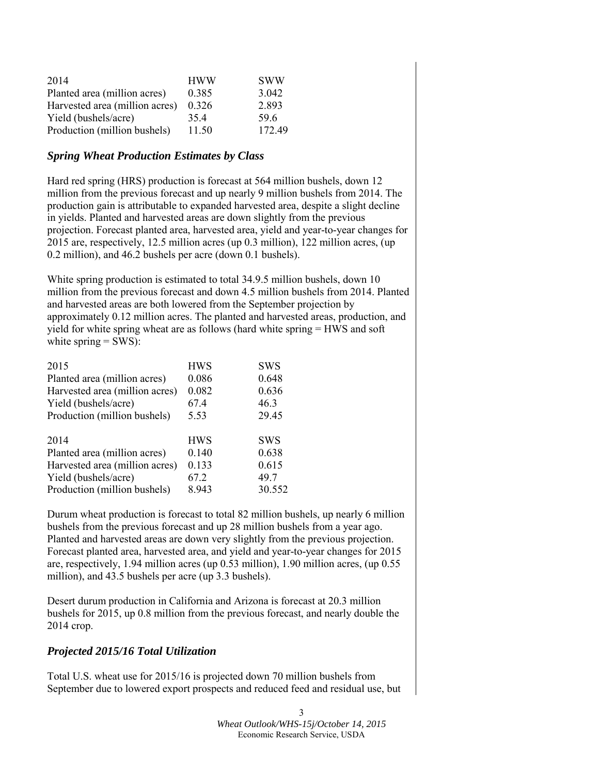| 2014                           | <b>HWW</b> | <b>SWW</b> |
|--------------------------------|------------|------------|
| Planted area (million acres)   | 0.385      | 3.042      |
| Harvested area (million acres) | 0.326      | 2.893      |
| Yield (bushels/acre)           | 35.4       | 596        |
| Production (million bushels)   | 11.50      | 172.49     |

## *Spring Wheat Production Estimates by Class*

Hard red spring (HRS) production is forecast at 564 million bushels, down 12 million from the previous forecast and up nearly 9 million bushels from 2014. The production gain is attributable to expanded harvested area, despite a slight decline in yields. Planted and harvested areas are down slightly from the previous projection. Forecast planted area, harvested area, yield and year-to-year changes for 2015 are, respectively, 12.5 million acres (up 0.3 million), 122 million acres, (up 0.2 million), and 46.2 bushels per acre (down 0.1 bushels).

White spring production is estimated to total 34.9.5 million bushels, down 10 million from the previous forecast and down 4.5 million bushels from 2014. Planted and harvested areas are both lowered from the September projection by approximately 0.12 million acres. The planted and harvested areas, production, and yield for white spring wheat are as follows (hard white spring = HWS and soft white spring  $=$  SWS):

| <b>HWS</b> | <b>SWS</b> |
|------------|------------|
| 0.086      | 0.648      |
| 0.082      | 0.636      |
| 67.4       | 46.3       |
| 5.53       | 29.45      |
|            |            |
| <b>HWS</b> | <b>SWS</b> |
| 0.140      | 0.638      |
| 0.133      | 0.615      |
| 67.2       | 49.7       |
| 8.943      | 30.552     |
|            |            |

Durum wheat production is forecast to total 82 million bushels, up nearly 6 million bushels from the previous forecast and up 28 million bushels from a year ago. Planted and harvested areas are down very slightly from the previous projection. Forecast planted area, harvested area, and yield and year-to-year changes for 2015 are, respectively, 1.94 million acres (up 0.53 million), 1.90 million acres, (up 0.55 million), and 43.5 bushels per acre (up 3.3 bushels).

Desert durum production in California and Arizona is forecast at 20.3 million bushels for 2015, up 0.8 million from the previous forecast, and nearly double the 2014 crop.

## *Projected 2015/16 Total Utilization*

Total U.S. wheat use for 2015/16 is projected down 70 million bushels from September due to lowered export prospects and reduced feed and residual use, but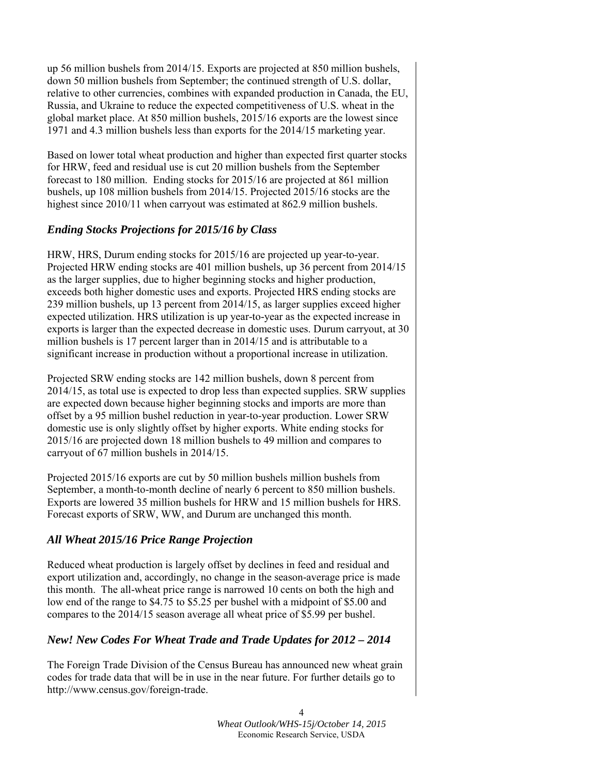up 56 million bushels from 2014/15. Exports are projected at 850 million bushels, down 50 million bushels from September; the continued strength of U.S. dollar, relative to other currencies, combines with expanded production in Canada, the EU, Russia, and Ukraine to reduce the expected competitiveness of U.S. wheat in the global market place. At 850 million bushels, 2015/16 exports are the lowest since 1971 and 4.3 million bushels less than exports for the 2014/15 marketing year.

Based on lower total wheat production and higher than expected first quarter stocks for HRW, feed and residual use is cut 20 million bushels from the September forecast to 180 million. Ending stocks for 2015/16 are projected at 861 million bushels, up 108 million bushels from 2014/15. Projected 2015/16 stocks are the highest since 2010/11 when carryout was estimated at 862.9 million bushels.

# *Ending Stocks Projections for 2015/16 by Class*

HRW, HRS, Durum ending stocks for 2015/16 are projected up year-to-year. Projected HRW ending stocks are 401 million bushels, up 36 percent from 2014/15 as the larger supplies, due to higher beginning stocks and higher production, exceeds both higher domestic uses and exports. Projected HRS ending stocks are 239 million bushels, up 13 percent from 2014/15, as larger supplies exceed higher expected utilization. HRS utilization is up year-to-year as the expected increase in exports is larger than the expected decrease in domestic uses. Durum carryout, at 30 million bushels is 17 percent larger than in 2014/15 and is attributable to a significant increase in production without a proportional increase in utilization.

Projected SRW ending stocks are 142 million bushels, down 8 percent from 2014/15, as total use is expected to drop less than expected supplies. SRW supplies are expected down because higher beginning stocks and imports are more than offset by a 95 million bushel reduction in year-to-year production. Lower SRW domestic use is only slightly offset by higher exports. White ending stocks for 2015/16 are projected down 18 million bushels to 49 million and compares to carryout of 67 million bushels in 2014/15.

Projected 2015/16 exports are cut by 50 million bushels million bushels from September, a month-to-month decline of nearly 6 percent to 850 million bushels. Exports are lowered 35 million bushels for HRW and 15 million bushels for HRS. Forecast exports of SRW, WW, and Durum are unchanged this month.

## *All Wheat 2015/16 Price Range Projection*

Reduced wheat production is largely offset by declines in feed and residual and export utilization and, accordingly, no change in the season-average price is made this month. The all-wheat price range is narrowed 10 cents on both the high and low end of the range to \$4.75 to \$5.25 per bushel with a midpoint of \$5.00 and compares to the 2014/15 season average all wheat price of \$5.99 per bushel.

## *New! New Codes For Wheat Trade and Trade Updates for 2012 – 2014*

The Foreign Trade Division of the Census Bureau has announced new wheat grain codes for trade data that will be in use in the near future. For further details go to http://www.census.gov/foreign-trade.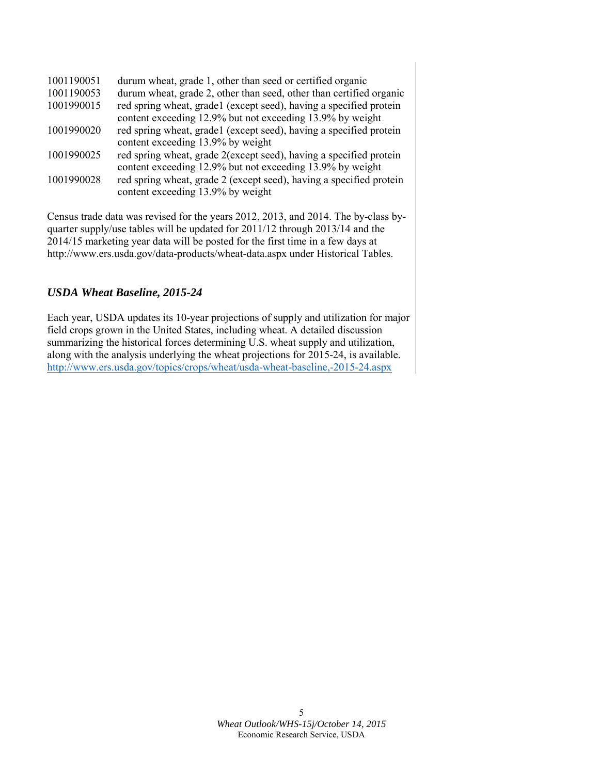| durum wheat, grade 1, other than seed or certified organic                                               |
|----------------------------------------------------------------------------------------------------------|
| durum wheat, grade 2, other than seed, other than certified organic                                      |
| red spring wheat, grade1 (except seed), having a specified protein                                       |
| content exceeding 12.9% but not exceeding 13.9% by weight                                                |
| red spring wheat, grade1 (except seed), having a specified protein                                       |
| content exceeding 13.9% by weight                                                                        |
| red spring wheat, grade 2(except seed), having a specified protein                                       |
| content exceeding 12.9% but not exceeding 13.9% by weight                                                |
| red spring wheat, grade 2 (except seed), having a specified protein<br>content exceeding 13.9% by weight |
|                                                                                                          |

Census trade data was revised for the years 2012, 2013, and 2014. The by-class byquarter supply/use tables will be updated for 2011/12 through 2013/14 and the 2014/15 marketing year data will be posted for the first time in a few days at http://www.ers.usda.gov/data-products/wheat-data.aspx under Historical Tables.

# *USDA Wheat Baseline, 2015-24*

Each year, USDA updates its 10-year projections of supply and utilization for major field crops grown in the United States, including wheat. A detailed discussion summarizing the historical forces determining U.S. wheat supply and utilization, along with the analysis underlying the wheat projections for 2015-24, is available. <http://www.ers.usda.gov/topics/crops/wheat/usda-wheat-baseline,-2015-24.aspx>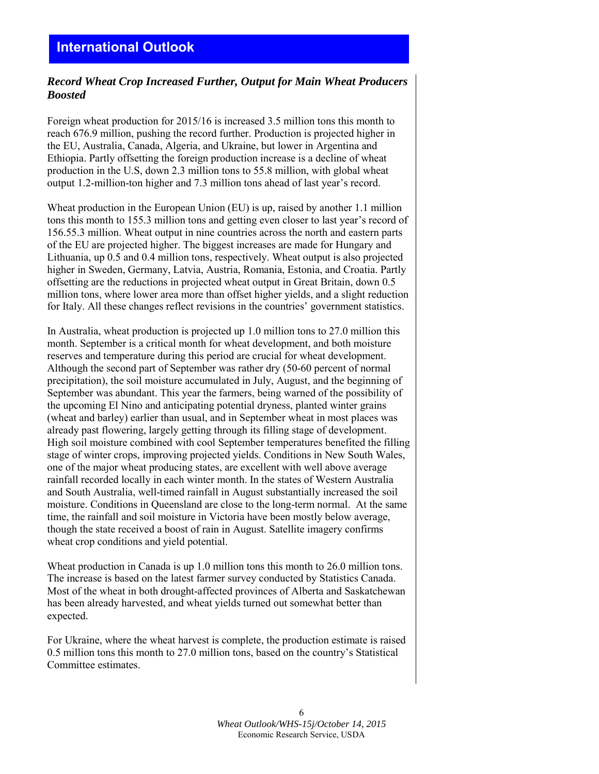# *Record Wheat Crop Increased Further, Output for Main Wheat Producers Boosted*

Foreign wheat production for 2015/16 is increased 3.5 million tons this month to reach 676.9 million, pushing the record further. Production is projected higher in the EU, Australia, Canada, Algeria, and Ukraine, but lower in Argentina and Ethiopia. Partly offsetting the foreign production increase is a decline of wheat production in the U.S, down 2.3 million tons to 55.8 million, with global wheat output 1.2-million-ton higher and 7.3 million tons ahead of last year's record.

Wheat production in the European Union (EU) is up, raised by another 1.1 million tons this month to 155.3 million tons and getting even closer to last year's record of 156.55.3 million. Wheat output in nine countries across the north and eastern parts of the EU are projected higher. The biggest increases are made for Hungary and Lithuania, up 0.5 and 0.4 million tons, respectively. Wheat output is also projected higher in Sweden, Germany, Latvia, Austria, Romania, Estonia, and Croatia. Partly offsetting are the reductions in projected wheat output in Great Britain, down 0.5 million tons, where lower area more than offset higher yields, and a slight reduction for Italy. All these changes reflect revisions in the countries' government statistics.

In Australia, wheat production is projected up 1.0 million tons to 27.0 million this month. September is a critical month for wheat development, and both moisture reserves and temperature during this period are crucial for wheat development. Although the second part of September was rather dry (50-60 percent of normal precipitation), the soil moisture accumulated in July, August, and the beginning of September was abundant. This year the farmers, being warned of the possibility of the upcoming El Nino and anticipating potential dryness, planted winter grains (wheat and barley) earlier than usual, and in September wheat in most places was already past flowering, largely getting through its filling stage of development. High soil moisture combined with cool September temperatures benefited the filling stage of winter crops, improving projected yields. Conditions in New South Wales, one of the major wheat producing states, are excellent with well above average rainfall recorded locally in each winter month. In the states of Western Australia and South Australia, well-timed rainfall in August substantially increased the soil moisture. Conditions in Queensland are close to the long-term normal. At the same time, the rainfall and soil moisture in Victoria have been mostly below average, though the state received a boost of rain in August. Satellite imagery confirms wheat crop conditions and yield potential.

Wheat production in Canada is up 1.0 million tons this month to 26.0 million tons. The increase is based on the latest farmer survey conducted by Statistics Canada. Most of the wheat in both drought-affected provinces of Alberta and Saskatchewan has been already harvested, and wheat yields turned out somewhat better than expected.

For Ukraine, where the wheat harvest is complete, the production estimate is raised 0.5 million tons this month to 27.0 million tons, based on the country's Statistical Committee estimates.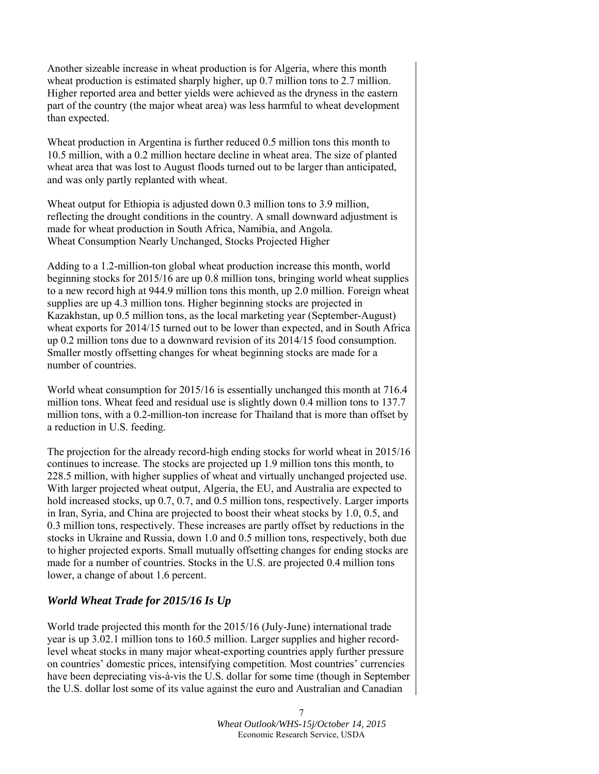Another sizeable increase in wheat production is for Algeria, where this month wheat production is estimated sharply higher, up 0.7 million tons to 2.7 million. Higher reported area and better yields were achieved as the dryness in the eastern part of the country (the major wheat area) was less harmful to wheat development than expected.

Wheat production in Argentina is further reduced 0.5 million tons this month to 10.5 million, with a 0.2 million hectare decline in wheat area. The size of planted wheat area that was lost to August floods turned out to be larger than anticipated, and was only partly replanted with wheat.

Wheat output for Ethiopia is adjusted down 0.3 million tons to 3.9 million, reflecting the drought conditions in the country. A small downward adjustment is made for wheat production in South Africa, Namibia, and Angola. Wheat Consumption Nearly Unchanged, Stocks Projected Higher

Adding to a 1.2-million-ton global wheat production increase this month, world beginning stocks for 2015/16 are up 0.8 million tons, bringing world wheat supplies to a new record high at 944.9 million tons this month, up 2.0 million. Foreign wheat supplies are up 4.3 million tons. Higher beginning stocks are projected in Kazakhstan, up 0.5 million tons, as the local marketing year (September-August) wheat exports for 2014/15 turned out to be lower than expected, and in South Africa up 0.2 million tons due to a downward revision of its 2014/15 food consumption. Smaller mostly offsetting changes for wheat beginning stocks are made for a number of countries.

World wheat consumption for 2015/16 is essentially unchanged this month at 716.4 million tons. Wheat feed and residual use is slightly down 0.4 million tons to 137.7 million tons, with a 0.2-million-ton increase for Thailand that is more than offset by a reduction in U.S. feeding.

The projection for the already record-high ending stocks for world wheat in 2015/16 continues to increase. The stocks are projected up 1.9 million tons this month, to 228.5 million, with higher supplies of wheat and virtually unchanged projected use. With larger projected wheat output, Algeria, the EU, and Australia are expected to hold increased stocks, up 0.7, 0.7, and 0.5 million tons, respectively. Larger imports in Iran, Syria, and China are projected to boost their wheat stocks by 1.0, 0.5, and 0.3 million tons, respectively. These increases are partly offset by reductions in the stocks in Ukraine and Russia, down 1.0 and 0.5 million tons, respectively, both due to higher projected exports. Small mutually offsetting changes for ending stocks are made for a number of countries. Stocks in the U.S. are projected 0.4 million tons lower, a change of about 1.6 percent.

## *World Wheat Trade for 2015/16 Is Up*

World trade projected this month for the 2015/16 (July-June) international trade year is up 3.02.1 million tons to 160.5 million. Larger supplies and higher recordlevel wheat stocks in many major wheat-exporting countries apply further pressure on countries' domestic prices, intensifying competition. Most countries' currencies have been depreciating vis-à-vis the U.S. dollar for some time (though in September the U.S. dollar lost some of its value against the euro and Australian and Canadian

> 7 *Wheat Outlook/WHS-15j/October 14, 2015* Economic Research Service, USDA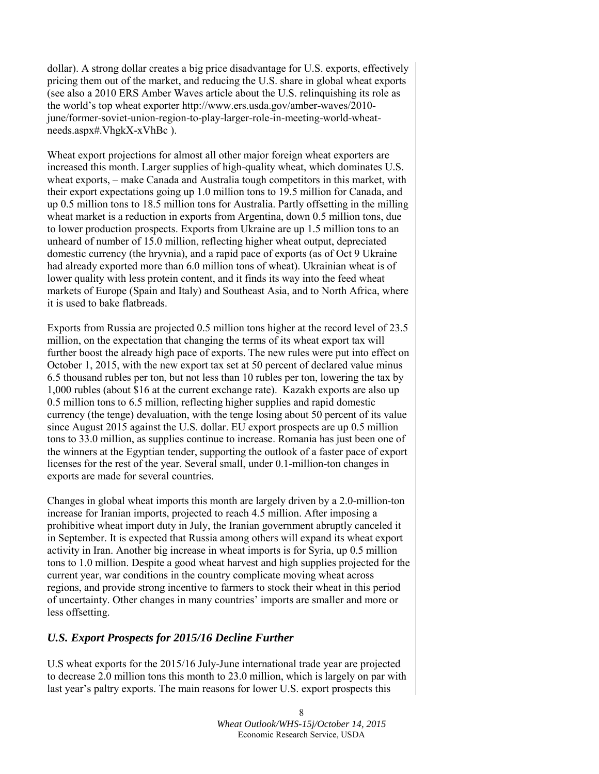dollar). A strong dollar creates a big price disadvantage for U.S. exports, effectively pricing them out of the market, and reducing the U.S. share in global wheat exports (see also a 2010 ERS Amber Waves article about the U.S. relinquishing its role as the world's top wheat exporter http://www.ers.usda.gov/amber-waves/2010 june/former-soviet-union-region-to-play-larger-role-in-meeting-world-wheatneeds.aspx#.VhgkX-xVhBc ).

Wheat export projections for almost all other major foreign wheat exporters are increased this month. Larger supplies of high-quality wheat, which dominates U.S. wheat exports, – make Canada and Australia tough competitors in this market, with their export expectations going up 1.0 million tons to 19.5 million for Canada, and up 0.5 million tons to 18.5 million tons for Australia. Partly offsetting in the milling wheat market is a reduction in exports from Argentina, down 0.5 million tons, due to lower production prospects. Exports from Ukraine are up 1.5 million tons to an unheard of number of 15.0 million, reflecting higher wheat output, depreciated domestic currency (the hryvnia), and a rapid pace of exports (as of Oct 9 Ukraine had already exported more than 6.0 million tons of wheat). Ukrainian wheat is of lower quality with less protein content, and it finds its way into the feed wheat markets of Europe (Spain and Italy) and Southeast Asia, and to North Africa, where it is used to bake flatbreads.

Exports from Russia are projected 0.5 million tons higher at the record level of 23.5 million, on the expectation that changing the terms of its wheat export tax will further boost the already high pace of exports. The new rules were put into effect on October 1, 2015, with the new export tax set at 50 percent of declared value minus 6.5 thousand rubles per ton, but not less than 10 rubles per ton, lowering the tax by 1,000 rubles (about \$16 at the current exchange rate). Kazakh exports are also up 0.5 million tons to 6.5 million, reflecting higher supplies and rapid domestic currency (the tenge) devaluation, with the tenge losing about 50 percent of its value since August 2015 against the U.S. dollar. EU export prospects are up 0.5 million tons to 33.0 million, as supplies continue to increase. Romania has just been one of the winners at the Egyptian tender, supporting the outlook of a faster pace of export licenses for the rest of the year. Several small, under 0.1-million-ton changes in exports are made for several countries.

Changes in global wheat imports this month are largely driven by a 2.0-million-ton increase for Iranian imports, projected to reach 4.5 million. After imposing a prohibitive wheat import duty in July, the Iranian government abruptly canceled it in September. It is expected that Russia among others will expand its wheat export activity in Iran. Another big increase in wheat imports is for Syria, up 0.5 million tons to 1.0 million. Despite a good wheat harvest and high supplies projected for the current year, war conditions in the country complicate moving wheat across regions, and provide strong incentive to farmers to stock their wheat in this period of uncertainty. Other changes in many countries' imports are smaller and more or less offsetting.

## *U.S. Export Prospects for 2015/16 Decline Further*

U.S wheat exports for the 2015/16 July-June international trade year are projected to decrease 2.0 million tons this month to 23.0 million, which is largely on par with last year's paltry exports. The main reasons for lower U.S. export prospects this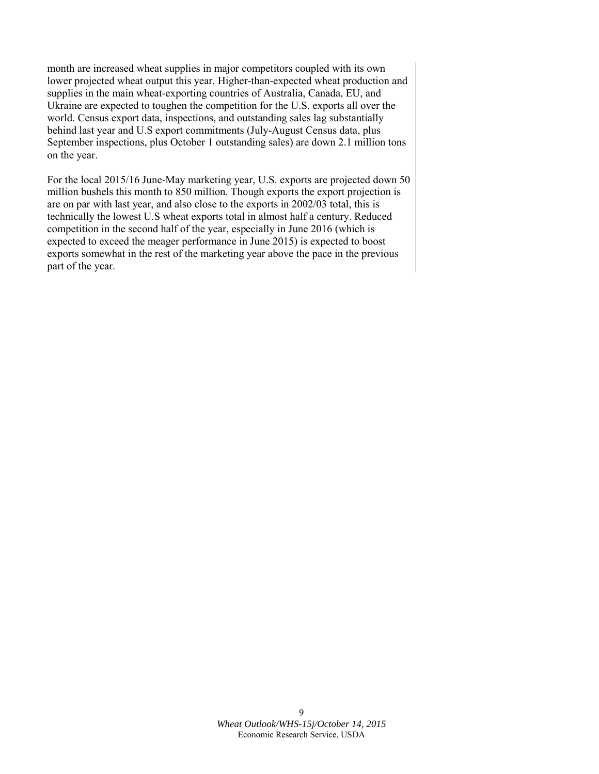month are increased wheat supplies in major competitors coupled with its own lower projected wheat output this year. Higher-than-expected wheat production and supplies in the main wheat-exporting countries of Australia, Canada, EU, and Ukraine are expected to toughen the competition for the U.S. exports all over the world. Census export data, inspections, and outstanding sales lag substantially behind last year and U.S export commitments (July-August Census data, plus September inspections, plus October 1 outstanding sales) are down 2.1 million tons on the year.

For the local 2015/16 June-May marketing year, U.S. exports are projected down 50 million bushels this month to 850 million. Though exports the export projection is are on par with last year, and also close to the exports in 2002/03 total, this is technically the lowest U.S wheat exports total in almost half a century. Reduced competition in the second half of the year, especially in June 2016 (which is expected to exceed the meager performance in June 2015) is expected to boost exports somewhat in the rest of the marketing year above the pace in the previous part of the year.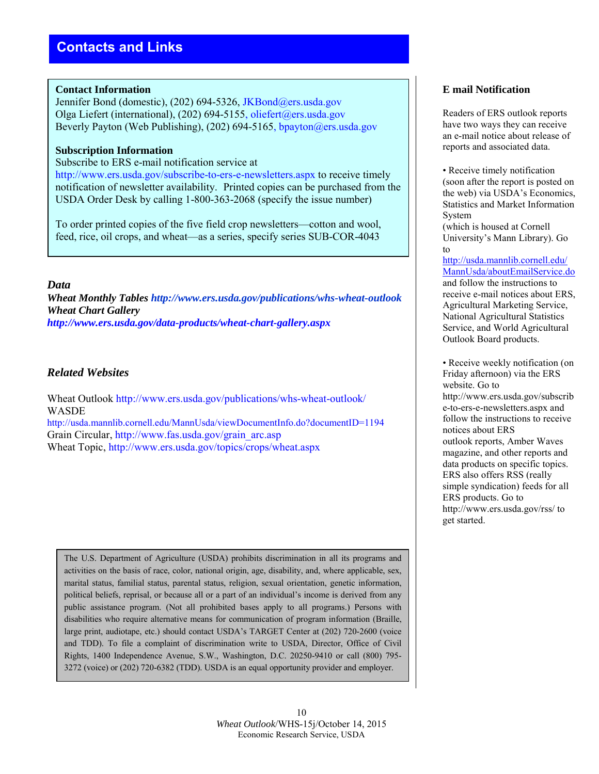## **Contact Information**

Jennifer Bond (domestic), (202) 694-5326, JKBond@ers.usda.gov Olga Liefert (international), (202) 694-5155, [oliefert@ers.usda.gov](mailto:oliefert@ers.usda.gov) Beverly Payton (Web Publishing), (202) 694-5165, [bpayton@ers.usda.gov](mailto:bpayton@ers.usda.gov)

## **Subscription Information**

Subscribe to ERS e-mail notification service at

http://www.ers.usda.gov/subscribe-to-ers-e-newsletters.aspx to receive timely notification of newsletter availability. Printed copies can be purchased from the USDA Order Desk by calling 1-800-363-2068 (specify the issue number)

To order printed copies of the five field crop newsletters—cotton and wool, feed, rice, oil crops, and wheat—as a series, specify series SUB-COR-4043

## *Data*

*Wheat Monthly Tables http://www.ers.usda.gov/publications/whs-wheat-outlook Wheat Chart Gallery http://www.ers.usda.gov/data-products/wheat-chart-gallery.aspx*

## *Related Websites*

Wheat Outlook http://www.ers.usda.gov/publications/whs-wheat-outlook/ WASDE http://usda.mannlib.cornell.edu/MannUsda/viewDocumentInfo.do?documentID=1194 Grain Circular, http://www.fas.usda.gov/grain\_arc.asp Wheat Topic, http://www.ers.usda.gov/topics/crops/wheat.aspx

The U.S. Department of Agriculture (USDA) prohibits discrimination in all its programs and activities on the basis of race, color, national origin, age, disability, and, where applicable, sex, marital status, familial status, parental status, religion, sexual orientation, genetic information, political beliefs, reprisal, or because all or a part of an individual's income is derived from any public assistance program. (Not all prohibited bases apply to all programs.) Persons with disabilities who require alternative means for communication of program information (Braille, large print, audiotape, etc.) should contact USDA's TARGET Center at (202) 720-2600 (voice and TDD). To file a complaint of discrimination write to USDA, Director, Office of Civil Rights, 1400 Independence Avenue, S.W., Washington, D.C. 20250-9410 or call (800) 795- 3272 (voice) or (202) 720-6382 (TDD). USDA is an equal opportunity provider and employer.

## **E mail Notification**

Readers of ERS outlook reports have two ways they can receive an e-mail notice about release of reports and associated data.

• Receive timely notification (soon after the report is posted on the web) via USDA's Economics, Statistics and Market Information System

(which is housed at Cornell University's Mann Library). Go to

[http://usda.mannlib.cornell.edu/](http://usda.mannlib.cornell.edu/MannUsda/aboutEmailService.do) [MannUsda/aboutEmailService.do](http://usda.mannlib.cornell.edu/MannUsda/aboutEmailService.do) and follow the instructions to receive e-mail notices about ERS, Agricultural Marketing Service, National Agricultural Statistics Service, and World Agricultural Outlook Board products.

• Receive weekly notification (on Friday afternoon) via the ERS website. Go to http://www.ers.usda.gov/subscrib e-to-ers-e-newsletters.aspx and follow the instructions to receive notices about ERS outlook reports, Amber Waves magazine, and other reports and data products on specific topics. ERS also offers RSS (really simple syndication) feeds for all ERS products. Go to http://www.ers.usda.gov/rss/ to get started.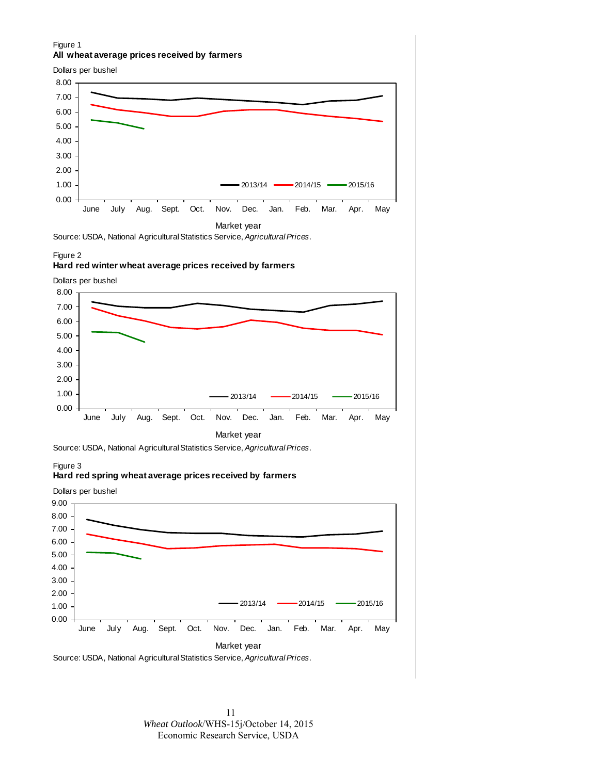#### Figure 1 **All wheat average prices received by farmers**

Dollars per bushel



#### Figure 2

#### **Hard red winter wheat average prices received by farmers**

Dollars per bushel





#### Figure 3

#### **Hard red spring wheat average prices received by farmers**



11 *Wheat Outlook*/WHS-15j/October 14, 2015 Economic Research Service, USDA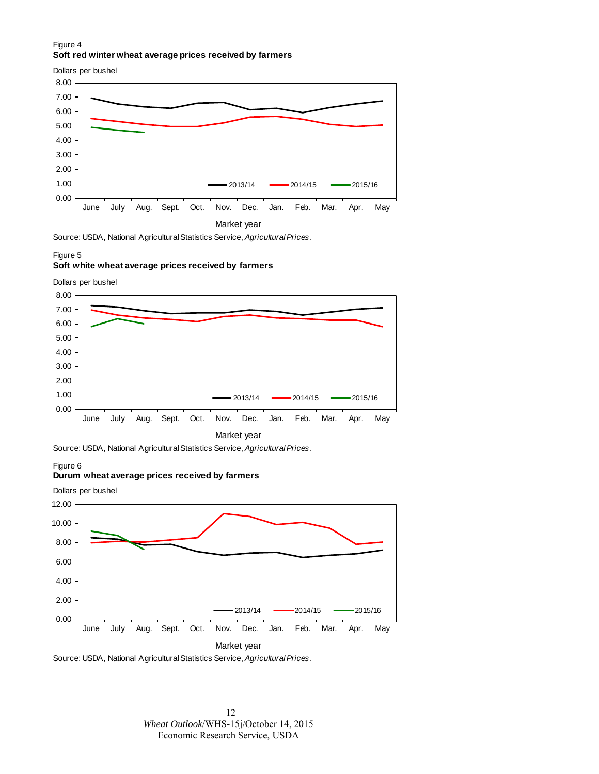#### Figure 4 **Soft red winter wheat average prices received by farmers**

Dollars per bushel



Source: USDA, National Agricultural Statistics Service, *Agricultural Prices*.

#### Figure 5

#### **Soft white wheat average prices received by farmers**

Dollars per bushel





#### Figure 6

#### **Durum wheat average prices received by farmers**





12 *Wheat Outlook*/WHS-15j/October 14, 2015 Economic Research Service, USDA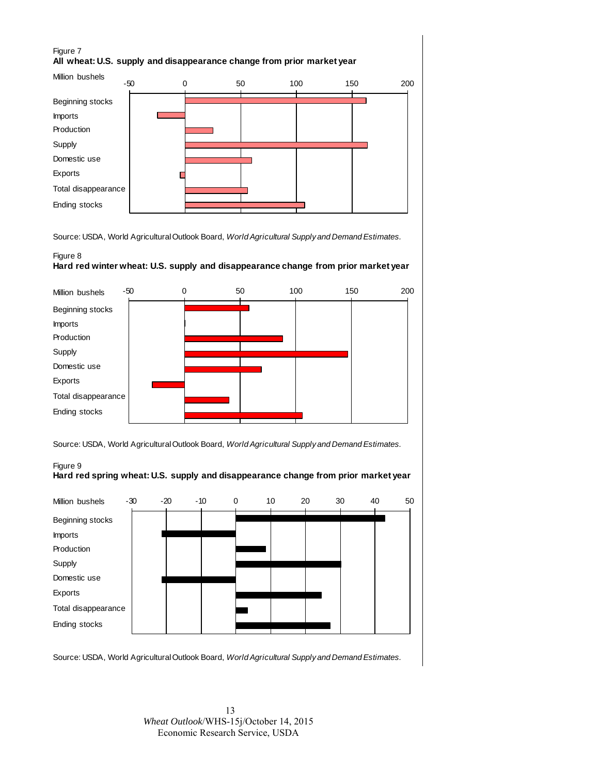#### Figure 7 **All wheat: U.S. supply and disappearance change from prior market year**



Source: USDA, World Agricultural Outlook Board, *World Agricultural Supply and Demand Estimates.*

#### Figure 8 **Hard red winter wheat: U.S. supply and disappearance change from prior market year**



Source: USDA, World Agricultural Outlook Board, *World Agricultural Supply and Demand Estimates.*

#### Figure 9 **Hard red spring wheat: U.S. supply and disappearance change from prior market year**



Source: USDA, World Agricultural Outlook Board, *World Agricultural Supply and Demand Estimates.*

13 *Wheat Outlook*/WHS-15j/October 14, 2015 Economic Research Service, USDA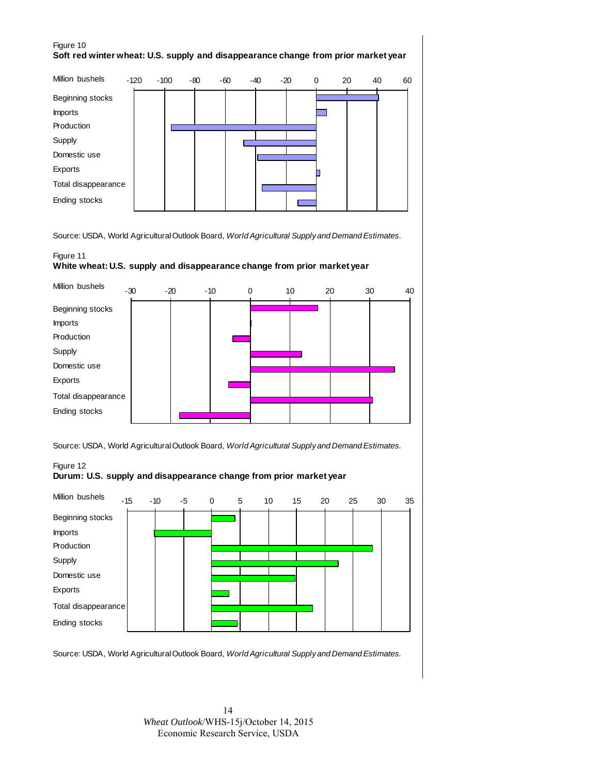#### Figure 10 **Soft red winter wheat: U.S. supply and disappearance change from prior market year**

| Million bushels     | $-120$ | $-100$ | -80 | -60 | -40 | -20 | 0 | 20 | 40 | 60 |
|---------------------|--------|--------|-----|-----|-----|-----|---|----|----|----|
| Beginning stocks    |        |        |     |     |     |     |   |    |    |    |
| <b>Imports</b>      |        |        |     |     |     |     |   |    |    |    |
| Production          |        |        |     |     |     |     |   |    |    |    |
| Supply              |        |        |     |     |     |     |   |    |    |    |
| Domestic use        |        |        |     |     |     |     |   |    |    |    |
| Exports             |        |        |     |     |     |     |   |    |    |    |
| Total disappearance |        |        |     |     |     |     |   |    |    |    |
| Ending stocks       |        |        |     |     |     |     |   |    |    |    |

Source: USDA, World Agricultural Outlook Board, *World Agricultural Supply and Demand Estimates.*

#### Figure 11 **White wheat: U.S. supply and disappearance change from prior market year**



Source: USDA, World Agricultural Outlook Board, *World Agricultural Supply and Demand Estimates.*

# -15 -10 -5 0 5 10 15 20 25 30 35 Figure 12 **Durum: U.S. supply and disappearance change from prior market year** Million bushels



Source: USDA, World Agricultural Outlook Board, *World Agricultural Supply and Demand Estimates.*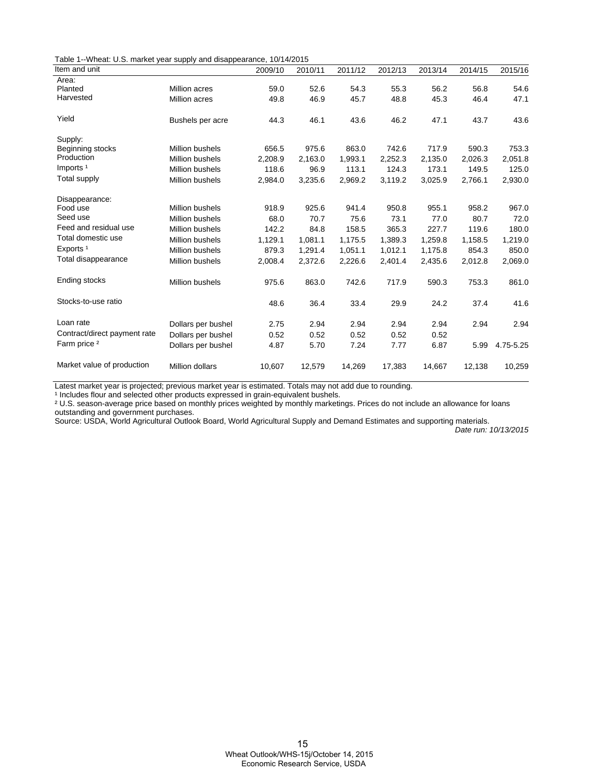Table 1--Wheat: U.S. market year supply and disappearance, 10/14/2015

| Item and unit                |                        | 2009/10 | 2010/11 | 2011/12 | 2012/13 | 2013/14 | 2014/15 | 2015/16   |
|------------------------------|------------------------|---------|---------|---------|---------|---------|---------|-----------|
| Area:                        |                        |         |         |         |         |         |         |           |
| Planted                      | Million acres          | 59.0    | 52.6    | 54.3    | 55.3    | 56.2    | 56.8    | 54.6      |
| Harvested                    | Million acres          | 49.8    | 46.9    | 45.7    | 48.8    | 45.3    | 46.4    | 47.1      |
| Yield                        | Bushels per acre       | 44.3    | 46.1    | 43.6    | 46.2    | 47.1    | 43.7    | 43.6      |
| Supply:                      |                        |         |         |         |         |         |         |           |
| Beginning stocks             | <b>Million bushels</b> | 656.5   | 975.6   | 863.0   | 742.6   | 717.9   | 590.3   | 753.3     |
| Production                   | <b>Million bushels</b> | 2,208.9 | 2,163.0 | 1,993.1 | 2,252.3 | 2,135.0 | 2,026.3 | 2,051.8   |
| Imports <sup>1</sup>         | <b>Million bushels</b> | 118.6   | 96.9    | 113.1   | 124.3   | 173.1   | 149.5   | 125.0     |
| Total supply                 | Million bushels        | 2,984.0 | 3,235.6 | 2,969.2 | 3,119.2 | 3,025.9 | 2,766.1 | 2,930.0   |
| Disappearance:               |                        |         |         |         |         |         |         |           |
| Food use                     | Million bushels        | 918.9   | 925.6   | 941.4   | 950.8   | 955.1   | 958.2   | 967.0     |
| Seed use                     | <b>Million bushels</b> | 68.0    | 70.7    | 75.6    | 73.1    | 77.0    | 80.7    | 72.0      |
| Feed and residual use        | Million bushels        | 142.2   | 84.8    | 158.5   | 365.3   | 227.7   | 119.6   | 180.0     |
| Total domestic use           | <b>Million bushels</b> | 1,129.1 | 1,081.1 | 1,175.5 | 1,389.3 | 1,259.8 | 1,158.5 | 1,219.0   |
| Exports <sup>1</sup>         | Million bushels        | 879.3   | 1,291.4 | 1,051.1 | 1,012.1 | 1,175.8 | 854.3   | 850.0     |
| Total disappearance          | Million bushels        | 2,008.4 | 2,372.6 | 2,226.6 | 2,401.4 | 2,435.6 | 2,012.8 | 2,069.0   |
| Ending stocks                | Million bushels        | 975.6   | 863.0   | 742.6   | 717.9   | 590.3   | 753.3   | 861.0     |
| Stocks-to-use ratio          |                        | 48.6    | 36.4    | 33.4    | 29.9    | 24.2    | 37.4    | 41.6      |
| Loan rate                    | Dollars per bushel     | 2.75    | 2.94    | 2.94    | 2.94    | 2.94    | 2.94    | 2.94      |
| Contract/direct payment rate | Dollars per bushel     | 0.52    | 0.52    | 0.52    | 0.52    | 0.52    |         |           |
| Farm price <sup>2</sup>      | Dollars per bushel     | 4.87    | 5.70    | 7.24    | 7.77    | 6.87    | 5.99    | 4.75-5.25 |
| Market value of production   | Million dollars        | 10,607  | 12,579  | 14,269  | 17,383  | 14,667  | 12,138  | 10,259    |

Latest market year is projected; previous market year is estimated. Totals may not add due to rounding.

<sup>1</sup> Includes flour and selected other products expressed in grain-equivalent bushels.

² U.S. season-average price based on monthly prices weighted by monthly marketings. Prices do not include an allowance for loans outstanding and government purchases.

Source: USDA, World Agricultural Outlook Board, World Agricultural Supply and Demand Estimates and supporting materials.

Date run: 10/13/2015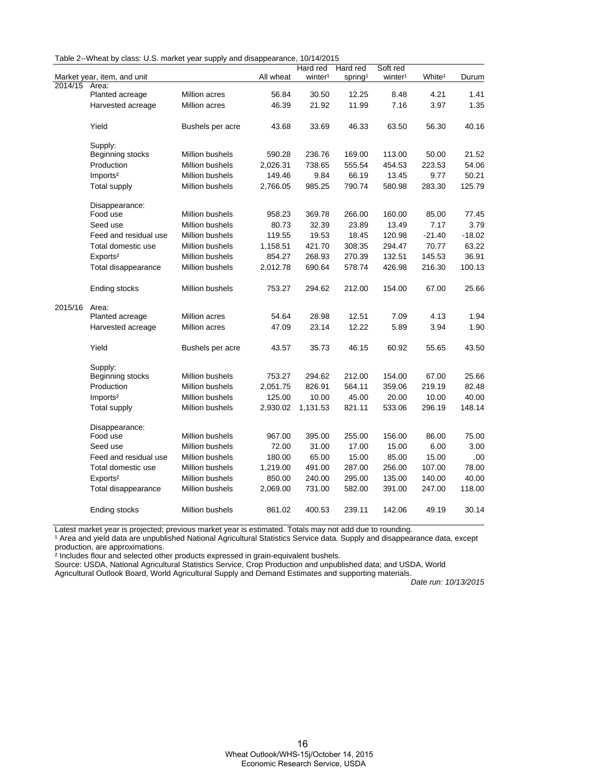| Table 2--Wheat by class: U.S. market year supply and disappearance, 10/14/2015 |  |  |  |  |  |
|--------------------------------------------------------------------------------|--|--|--|--|--|
|--------------------------------------------------------------------------------|--|--|--|--|--|

|         |                             |                  |           | Hard red            | Hard red            | Soft red            |                    |          |
|---------|-----------------------------|------------------|-----------|---------------------|---------------------|---------------------|--------------------|----------|
|         | Market year, item, and unit |                  | All wheat | winter <sup>1</sup> | spring <sup>1</sup> | winter <sup>1</sup> | White <sup>1</sup> | Durum    |
| 2014/15 | Area:                       |                  |           |                     |                     |                     |                    |          |
|         | Planted acreage             | Million acres    | 56.84     | 30.50               | 12.25               | 8.48                | 4.21               | 1.41     |
|         | Harvested acreage           | Million acres    | 46.39     | 21.92               | 11.99               | 7.16                | 3.97               | 1.35     |
|         | Yield                       | Bushels per acre | 43.68     | 33.69               | 46.33               | 63.50               | 56.30              | 40.16    |
|         | Supply:                     |                  |           |                     |                     |                     |                    |          |
|         | Beginning stocks            | Million bushels  | 590.28    | 236.76              | 169.00              | 113.00              | 50.00              | 21.52    |
|         | Production                  | Million bushels  | 2,026.31  | 738.65              | 555.54              | 454.53              | 223.53             | 54.06    |
|         | Imports <sup>2</sup>        | Million bushels  | 149.46    | 9.84                | 66.19               | 13.45               | 9.77               | 50.21    |
|         | Total supply                | Million bushels  | 2,766.05  | 985.25              | 790.74              | 580.98              | 283.30             | 125.79   |
|         | Disappearance:              |                  |           |                     |                     |                     |                    |          |
|         | Food use                    | Million bushels  | 958.23    | 369.78              | 266.00              | 160.00              | 85.00              | 77.45    |
|         | Seed use                    | Million bushels  | 80.73     | 32.39               | 23.89               | 13.49               | 7.17               | 3.79     |
|         | Feed and residual use       | Million bushels  | 119.55    | 19.53               | 18.45               | 120.98              | $-21.40$           | $-18.02$ |
|         | Total domestic use          | Million bushels  | 1,158.51  | 421.70              | 308.35              | 294.47              | 70.77              | 63.22    |
|         | Exports <sup>2</sup>        | Million bushels  | 854.27    | 268.93              | 270.39              | 132.51              | 145.53             | 36.91    |
|         | Total disappearance         | Million bushels  | 2,012.78  | 690.64              | 578.74              | 426.98              | 216.30             | 100.13   |
|         | Ending stocks               | Million bushels  | 753.27    | 294.62              | 212.00              | 154.00              | 67.00              | 25.66    |
| 2015/16 | Area:                       |                  |           |                     |                     |                     |                    |          |
|         | Planted acreage             | Million acres    | 54.64     | 28.98               | 12.51               | 7.09                | 4.13               | 1.94     |
|         | Harvested acreage           | Million acres    | 47.09     | 23.14               | 12.22               | 5.89                | 3.94               | 1.90     |
|         | Yield                       | Bushels per acre | 43.57     | 35.73               | 46.15               | 60.92               | 55.65              | 43.50    |
|         | Supply:                     |                  |           |                     |                     |                     |                    |          |
|         | Beginning stocks            | Million bushels  | 753.27    | 294.62              | 212.00              | 154.00              | 67.00              | 25.66    |
|         | Production                  | Million bushels  | 2,051.75  | 826.91              | 564.11              | 359.06              | 219.19             | 82.48    |
|         | Imports <sup>2</sup>        | Million bushels  | 125.00    | 10.00               | 45.00               | 20.00               | 10.00              | 40.00    |
|         | <b>Total supply</b>         | Million bushels  | 2,930.02  | 1,131.53            | 821.11              | 533.06              | 296.19             | 148.14   |
|         | Disappearance:              |                  |           |                     |                     |                     |                    |          |
|         | Food use                    | Million bushels  | 967.00    | 395.00              | 255.00              | 156.00              | 86.00              | 75.00    |
|         | Seed use                    | Million bushels  | 72.00     | 31.00               | 17.00               | 15.00               | 6.00               | 3.00     |
|         | Feed and residual use       | Million bushels  | 180.00    | 65.00               | 15.00               | 85.00               | 15.00              | .00      |
|         | Total domestic use          | Million bushels  | 1,219.00  | 491.00              | 287.00              | 256.00              | 107.00             | 78.00    |
|         | Exports <sup>2</sup>        | Million bushels  | 850.00    | 240.00              | 295.00              | 135.00              | 140.00             | 40.00    |
|         | Total disappearance         | Million bushels  | 2,069.00  | 731.00              | 582.00              | 391.00              | 247.00             | 118.00   |
|         | Ending stocks               | Million bushels  | 861.02    | 400.53              | 239.11              | 142.06              | 49.19              | 30.14    |

Latest market year is projected; previous market year is estimated. Totals may not add due to rounding.

<sup>1</sup> Area and yield data are unpublished National Agricultural Statistics Service data. Supply and disappearance data, except production, are approximations.

² Includes flour and selected other products expressed in grain-equivalent bushels.

Source: USDA, National Agricultural Statistics Service, Crop Production and unpublished data; and USDA, World

Agricultural Outlook Board, World Agricultural Supply and Demand Estimates and supporting materials.

.<br>Date run: 10/13/2015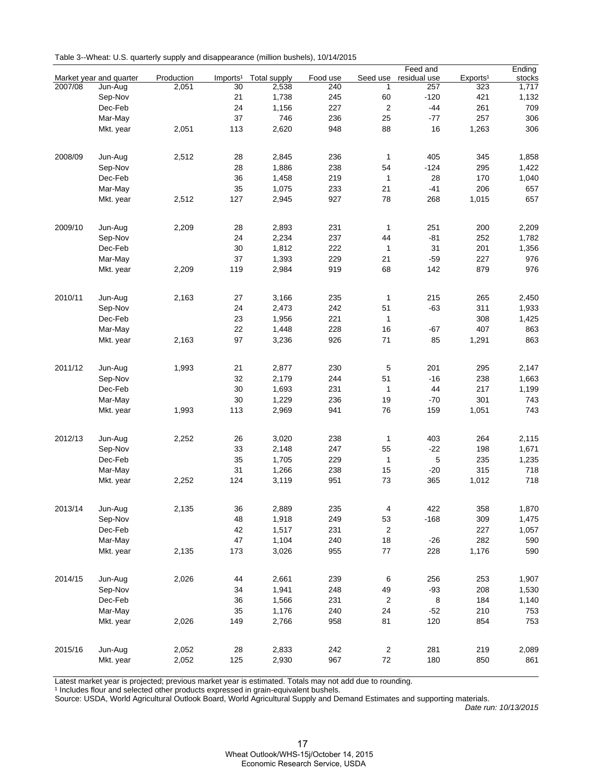| Table 3--Wheat: U.S. quarterly supply and disappearance (million bushels), 10/14/2015 |  |  |
|---------------------------------------------------------------------------------------|--|--|
|                                                                                       |  |  |

|         |                         |            |                      |                     |          |                  | Feed and     |                      | Ending |
|---------|-------------------------|------------|----------------------|---------------------|----------|------------------|--------------|----------------------|--------|
|         | Market year and quarter | Production | Imports <sup>1</sup> | <b>Total supply</b> | Food use | Seed use         | residual use | Exports <sup>1</sup> | stocks |
| 2007/08 | Jun-Aug                 | 2,051      | 30                   | 2,538               | 240      | 1                | 257          | 323                  | 1,717  |
|         | Sep-Nov                 |            | 21                   | 1,738               | 245      | 60               | $-120$       | 421                  | 1,132  |
|         | Dec-Feb                 |            | 24                   | 1,156               | 227      | $\overline{c}$   | $-44$        | 261                  | 709    |
|         | Mar-May                 |            | 37                   | 746                 | 236      | 25               | $-77$        | 257                  | 306    |
|         | Mkt. year               | 2,051      | 113                  | 2,620               | 948      | 88               | 16           | 1,263                | 306    |
|         |                         |            |                      |                     |          |                  |              |                      |        |
| 2008/09 | Jun-Aug                 | 2,512      | 28                   | 2,845               | 236      | $\mathbf{1}$     | 405          | 345                  | 1,858  |
|         | Sep-Nov                 |            | 28                   | 1,886               | 238      | 54               | $-124$       | 295                  | 1,422  |
|         | Dec-Feb                 |            | 36                   | 1,458               | 219      | $\mathbf{1}$     | 28           | 170                  | 1,040  |
|         | Mar-May                 |            | 35                   | 1,075               | 233      | 21               | $-41$        | 206                  | 657    |
|         | Mkt. year               | 2,512      | 127                  | 2,945               | 927      | 78               | 268          | 1,015                | 657    |
|         |                         |            |                      |                     |          |                  |              |                      |        |
| 2009/10 | Jun-Aug                 | 2,209      | 28                   | 2,893               | 231      | $\mathbf{1}$     | 251          | 200                  | 2,209  |
|         | Sep-Nov                 |            | 24                   | 2,234               | 237      | 44               | $-81$        | 252                  | 1,782  |
|         | Dec-Feb                 |            | 30                   | 1,812               | 222      | $\mathbf{1}$     | 31           | 201                  | 1,356  |
|         | Mar-May                 |            | 37                   | 1,393               | 229      | 21               | $-59$        | 227                  | 976    |
|         | Mkt. year               | 2,209      | 119                  | 2,984               | 919      | 68               | 142          | 879                  | 976    |
|         |                         |            |                      |                     |          |                  |              |                      |        |
| 2010/11 | Jun-Aug                 | 2,163      | 27                   | 3,166               | 235      | $\mathbf{1}$     | 215          | 265                  | 2,450  |
|         | Sep-Nov                 |            | 24                   | 2,473               | 242      | 51               | $-63$        | 311                  | 1,933  |
|         | Dec-Feb                 |            | 23                   | 1,956               | 221      | $\mathbf{1}$     |              | 308                  | 1,425  |
|         | Mar-May                 |            | 22                   | 1,448               | 228      | 16               | -67          | 407                  | 863    |
|         | Mkt. year               | 2,163      | 97                   | 3,236               | 926      | 71               | 85           | 1,291                | 863    |
|         |                         |            |                      |                     |          |                  |              |                      |        |
| 2011/12 | Jun-Aug                 | 1,993      | 21                   | 2,877               | 230      | 5                | 201          | 295                  | 2,147  |
|         | Sep-Nov                 |            | 32                   | 2,179               | 244      | 51               | $-16$        | 238                  | 1,663  |
|         | Dec-Feb                 |            | 30                   | 1,693               | 231      | $\mathbf{1}$     | 44           | 217                  | 1,199  |
|         | Mar-May                 |            | 30                   | 1,229               | 236      | 19               | -70          | 301                  | 743    |
|         | Mkt. year               | 1,993      | 113                  | 2,969               | 941      | 76               | 159          | 1,051                | 743    |
| 2012/13 | Jun-Aug                 | 2,252      | 26                   | 3,020               | 238      | $\mathbf{1}$     | 403          | 264                  | 2,115  |
|         | Sep-Nov                 |            | 33                   | 2,148               | 247      | 55               | $-22$        | 198                  | 1,671  |
|         |                         |            | 35                   |                     | 229      | $\mathbf{1}$     | 5            | 235                  |        |
|         | Dec-Feb                 |            |                      | 1,705               | 238      |                  |              | 315                  | 1,235  |
|         | Mar-May                 |            | 31                   | 1,266               |          | 15               | $-20$        |                      | 718    |
|         | Mkt. year               | 2,252      | 124                  | 3,119               | 951      | 73               | 365          | 1,012                | 718    |
| 2013/14 | Jun-Aug                 | 2,135      | 36                   | 2,889               | 235      | 4                | 422          | 358                  | 1,870  |
|         | Sep-Nov                 |            | 48                   | 1,918               | 249      | 53               | $-168$       | 309                  | 1,475  |
|         | Dec-Feb                 |            | 42                   | 1,517               | 231      | $\boldsymbol{2}$ |              | 227                  | 1,057  |
|         | Mar-May                 |            | 47                   |                     | 240      |                  | $-26$        | 282                  | 590    |
|         |                         |            |                      | 1,104               |          | 18               |              |                      |        |
|         | Mkt. year               | 2,135      | 173                  | 3,026               | 955      | 77               | 228          | 1,176                | 590    |
| 2014/15 | Jun-Aug                 | 2,026      | 44                   | 2,661               | 239      | 6                | 256          | 253                  | 1,907  |
|         | Sep-Nov                 |            | 34                   | 1,941               | 248      | 49               | $-93$        | 208                  | 1,530  |
|         | Dec-Feb                 |            | 36                   | 1,566               | 231      | $\overline{c}$   | 8            | 184                  | 1,140  |
|         | Mar-May                 |            | 35                   | 1,176               | 240      | 24               | $-52$        | 210                  | 753    |
|         |                         |            | 149                  |                     |          | 81               |              | 854                  |        |
|         | Mkt. year               | 2,026      |                      | 2,766               | 958      |                  | 120          |                      | 753    |
| 2015/16 | Jun-Aug                 | 2,052      | 28                   | 2,833               | 242      | $\sqrt{2}$       | 281          | 219                  | 2,089  |
|         | Mkt. year               | 2,052      | 125                  | 2,930               | 967      | $72\,$           | 180          | 850                  | 861    |
|         |                         |            |                      |                     |          |                  |              |                      |        |

Latest market year is projected; previous market year is estimated. Totals may not add due to rounding.

<sup>1</sup> Includes flour and selected other products expressed in grain-equivalent bushels.

Source: USDA, World Agricultural Outlook Board, World Agricultural Supply and Demand Estimates and supporting materials.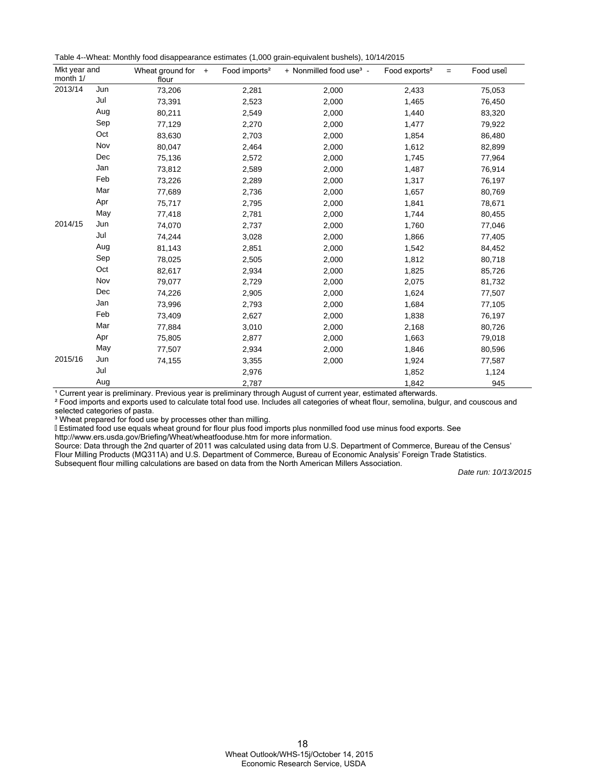| Table 4--Wheat: Monthly food disappearance estimates (1,000 grain-equivalent bushels), 10/14/2015 |  |  |  |
|---------------------------------------------------------------------------------------------------|--|--|--|
|---------------------------------------------------------------------------------------------------|--|--|--|

| Mkt year and<br>month 1/ |     | Wheat ground for $+$<br>flour | Food imports <sup>2</sup> | + Nonmilled food use <sup>3</sup> - | Food exports <sup>2</sup><br>$=$ | Food usell |
|--------------------------|-----|-------------------------------|---------------------------|-------------------------------------|----------------------------------|------------|
| 2013/14                  | Jun | 73,206                        | 2,281                     | 2,000                               | 2,433                            | 75,053     |
|                          | Jul | 73,391                        | 2,523                     | 2,000                               | 1,465                            | 76,450     |
|                          | Aug | 80,211                        | 2,549                     | 2,000                               | 1,440                            | 83,320     |
|                          | Sep | 77,129                        | 2,270                     | 2,000                               | 1,477                            | 79,922     |
|                          | Oct | 83,630                        | 2,703                     | 2,000                               | 1,854                            | 86,480     |
|                          | Nov | 80,047                        | 2,464                     | 2,000                               | 1,612                            | 82,899     |
|                          | Dec | 75,136                        | 2,572                     | 2,000                               | 1,745                            | 77,964     |
|                          | Jan | 73,812                        | 2,589                     | 2,000                               | 1,487                            | 76,914     |
|                          | Feb | 73,226                        | 2,289                     | 2,000                               | 1,317                            | 76,197     |
|                          | Mar | 77,689                        | 2,736                     | 2,000                               | 1,657                            | 80,769     |
|                          | Apr | 75,717                        | 2,795                     | 2,000                               | 1,841                            | 78,671     |
|                          | May | 77,418                        | 2,781                     | 2,000                               | 1,744                            | 80,455     |
| 2014/15                  | Jun | 74,070                        | 2,737                     | 2,000                               | 1,760                            | 77,046     |
|                          | Jul | 74,244                        | 3,028                     | 2,000                               | 1,866                            | 77,405     |
|                          | Aug | 81,143                        | 2,851                     | 2,000                               | 1,542                            | 84,452     |
|                          | Sep | 78,025                        | 2,505                     | 2,000                               | 1,812                            | 80,718     |
|                          | Oct | 82,617                        | 2,934                     | 2,000                               | 1,825                            | 85,726     |
|                          | Nov | 79,077                        | 2,729                     | 2,000                               | 2,075                            | 81,732     |
|                          | Dec | 74,226                        | 2,905                     | 2,000                               | 1,624                            | 77,507     |
|                          | Jan | 73,996                        | 2,793                     | 2,000                               | 1,684                            | 77,105     |
|                          | Feb | 73,409                        | 2,627                     | 2,000                               | 1,838                            | 76,197     |
|                          | Mar | 77,884                        | 3,010                     | 2,000                               | 2,168                            | 80,726     |
|                          | Apr | 75,805                        | 2,877                     | 2,000                               | 1,663                            | 79,018     |
|                          | May | 77,507                        | 2,934                     | 2,000                               | 1,846                            | 80,596     |
| 2015/16                  | Jun | 74,155                        | 3,355                     | 2,000                               | 1,924                            | 77,587     |
|                          | Jul |                               | 2,976                     |                                     | 1,852                            | 1,124      |
|                          | Aug |                               | 2,787                     |                                     | 1,842                            | 945        |

<sup>1</sup> Current year is preliminary. Previous year is preliminary through August of current year, estimated afterwards.

² Food imports and exports used to calculate total food use. Includes all categories of wheat flour, semolina, bulgur, and couscous and selected categories of pasta.

<sup>3</sup> Wheat prepared for food use by processes other than milling.

Estimated food use equals wheat ground for flour plus food imports plus nonmilled food use minus food exports. See

http://www.ers.usda.gov/Briefing/Wheat/wheatfooduse.htm for more information.

Source: Data through the 2nd quarter of 2011 was calculated using data from U.S. Department of Commerce, Bureau of the Census' Flour Milling Products (MQ311A) and U.S. Department of Commerce, Bureau of Economic Analysis' Foreign Trade Statistics. Subsequent flour milling calculations are based on data from the North American Millers Association.

Date run: 10/13/2015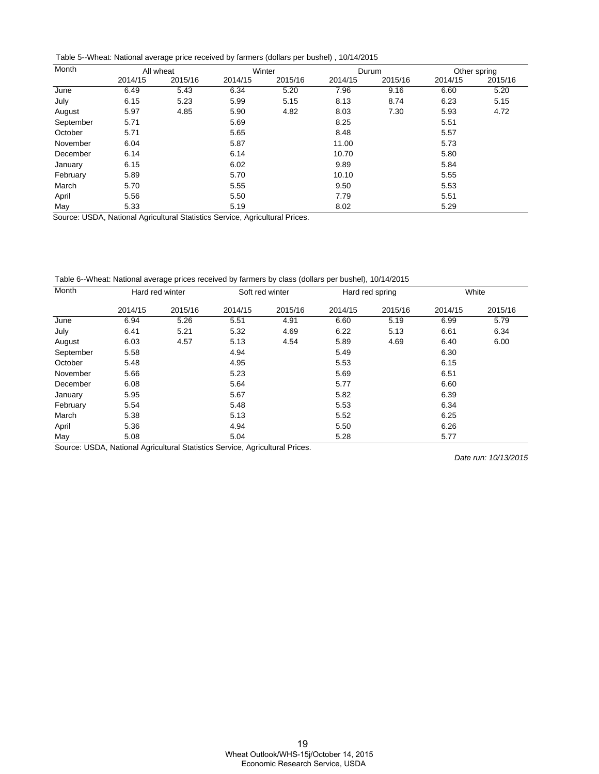Table 5--Wheat: National average price received by farmers (dollars per bushel) , 10/14/2015

| Month     | All wheat |         | Winter    |                      | Durum   |         | Other spring |         |
|-----------|-----------|---------|-----------|----------------------|---------|---------|--------------|---------|
|           | 2014/15   | 2015/16 | 2014/15   | 2015/16              | 2014/15 | 2015/16 | 2014/15      | 2015/16 |
| June      | 6.49      | 5.43    | 6.34      | 5.20                 | 7.96    | 9.16    | 6.60         | 5.20    |
| July      | 6.15      | 5.23    | 5.99      | 5.15                 | 8.13    | 8.74    | 6.23         | 5.15    |
| August    | 5.97      | 4.85    | 5.90      | 4.82                 | 8.03    | 7.30    | 5.93         | 4.72    |
| September | 5.71      |         | 5.69      |                      | 8.25    |         | 5.51         |         |
| October   | 5.71      |         | 5.65      |                      | 8.48    |         | 5.57         |         |
| November  | 6.04      |         | 5.87      |                      | 11.00   |         | 5.73         |         |
| December  | 6.14      |         | 6.14      |                      | 10.70   |         | 5.80         |         |
| January   | 6.15      |         | 6.02      |                      | 9.89    |         | 5.84         |         |
| February  | 5.89      |         | 5.70      |                      | 10.10   |         | 5.55         |         |
| March     | 5.70      |         | 5.55      |                      | 9.50    |         | 5.53         |         |
| April     | 5.56      |         | 5.50      |                      | 7.79    |         | 5.51         |         |
| May       | 5.33      | .       | 5.19<br>. | $\sim$ $\sim$ $\sim$ | 8.02    |         | 5.29         |         |

Source: USDA, National Agricultural Statistics Service, Agricultural Prices.

Table 6--Wheat: National average prices received by farmers by class (dollars per bushel), 10/14/2015

| Month     | Hard red winter |         | Soft red winter |         | Hard red spring |         | White   |         |
|-----------|-----------------|---------|-----------------|---------|-----------------|---------|---------|---------|
|           | 2014/15         | 2015/16 | 2014/15         | 2015/16 | 2014/15         | 2015/16 | 2014/15 | 2015/16 |
| June      | 6.94            | 5.26    | 5.51            | 4.91    | 6.60            | 5.19    | 6.99    | 5.79    |
| July      | 6.41            | 5.21    | 5.32            | 4.69    | 6.22            | 5.13    | 6.61    | 6.34    |
| August    | 6.03            | 4.57    | 5.13            | 4.54    | 5.89            | 4.69    | 6.40    | 6.00    |
| September | 5.58            |         | 4.94            |         | 5.49            |         | 6.30    |         |
| October   | 5.48            |         | 4.95            |         | 5.53            |         | 6.15    |         |
| November  | 5.66            |         | 5.23            |         | 5.69            |         | 6.51    |         |
| December  | 6.08            |         | 5.64            |         | 5.77            |         | 6.60    |         |
| January   | 5.95            |         | 5.67            |         | 5.82            |         | 6.39    |         |
| February  | 5.54            |         | 5.48            |         | 5.53            |         | 6.34    |         |
| March     | 5.38            |         | 5.13            |         | 5.52            |         | 6.25    |         |
| April     | 5.36            |         | 4.94            |         | 5.50            |         | 6.26    |         |
| May       | 5.08            |         | 5.04            |         | 5.28            |         | 5.77    |         |

Source: USDA, National Agricultural Statistics Service, Agricultural Prices.

Date run: 10/13/2015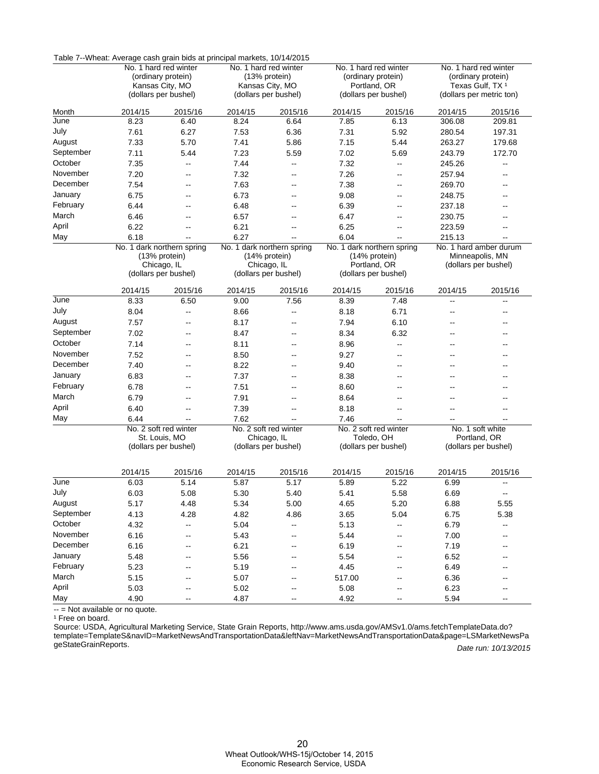|           | Table 7--Wheat: Average cash grain bids at principal markets, 10/14/2015 |                                     |                            |                       |                                      |                            |                                                         |                          |  |
|-----------|--------------------------------------------------------------------------|-------------------------------------|----------------------------|-----------------------|--------------------------------------|----------------------------|---------------------------------------------------------|--------------------------|--|
|           |                                                                          | No. 1 hard red winter               | No. 1 hard red winter      |                       |                                      | No. 1 hard red winter      | No. 1 hard red winter                                   |                          |  |
|           | (ordinary protein)                                                       |                                     | (13% protein)              |                       | (ordinary protein)                   |                            | (ordinary protein)                                      |                          |  |
|           |                                                                          | Kansas City, MO                     |                            | Kansas City, MO       | Portland, OR<br>(dollars per bushel) |                            | Texas Gulf, TX <sup>1</sup><br>(dollars per metric ton) |                          |  |
|           |                                                                          | (dollars per bushel)                |                            | (dollars per bushel)  |                                      |                            |                                                         |                          |  |
| Month     | 2014/15                                                                  | 2015/16                             | 2014/15                    | 2015/16               | 2014/15                              | 2015/16                    | 2014/15                                                 | 2015/16                  |  |
| June      | 8.23                                                                     | 6.40                                | 8.24                       | 6.64                  | 7.85                                 | 6.13                       | 306.08                                                  | 209.81                   |  |
| July      | 7.61                                                                     | 6.27                                | 7.53                       | 6.36                  | 7.31                                 | 5.92                       | 280.54                                                  | 197.31                   |  |
| August    | 7.33                                                                     | 5.70                                | 7.41                       | 5.86                  | 7.15                                 | 5.44                       | 263.27                                                  | 179.68                   |  |
| September | 7.11                                                                     | 5.44                                | 7.23                       | 5.59                  | 7.02                                 | 5.69                       | 243.79                                                  | 172.70                   |  |
| October   | 7.35                                                                     | $\overline{\phantom{a}}$            | 7.44                       | --                    | 7.32                                 | --                         | 245.26                                                  | $\overline{a}$           |  |
| November  | 7.20                                                                     | --                                  | 7.32                       | --                    | 7.26                                 | --                         | 257.94                                                  |                          |  |
| December  | 7.54                                                                     | --                                  | 7.63                       | $\overline{a}$        | 7.38                                 | $\overline{a}$             | 269.70                                                  | --                       |  |
| January   | 6.75                                                                     | $\overline{a}$                      | 6.73                       | --                    | 9.08                                 | --                         | 248.75                                                  | --                       |  |
| February  | 6.44                                                                     | --                                  | 6.48                       | --                    | 6.39                                 | --                         | 237.18                                                  | --                       |  |
| March     | 6.46                                                                     | $\overline{a}$                      | 6.57                       | --                    | 6.47                                 | --                         | 230.75                                                  | --                       |  |
| April     | 6.22                                                                     | --                                  | 6.21                       | --                    | 6.25                                 | --                         | 223.59                                                  |                          |  |
| May       | 6.18                                                                     | Щ,                                  | 6.27                       |                       | 6.04                                 | Щ,                         | 215.13                                                  |                          |  |
|           |                                                                          | No. 1 dark northern spring          | No. 1 dark northern spring |                       |                                      | No. 1 dark northern spring |                                                         | No. 1 hard amber durum   |  |
|           |                                                                          | (13% protein)                       |                            | (14% protein)         | (14% protein)                        |                            | Minneapolis, MN                                         |                          |  |
|           |                                                                          | Chicago, IL<br>(dollars per bushel) |                            | Chicago, IL           |                                      | Portland, OR               | (dollars per bushel)                                    |                          |  |
|           |                                                                          |                                     |                            | (dollars per bushel)  |                                      | (dollars per bushel)       |                                                         |                          |  |
|           | 2014/15                                                                  | 2015/16                             | 2014/15                    | 2015/16               | 2014/15                              | 2015/16                    | 2014/15                                                 | 2015/16                  |  |
| June      | 8.33                                                                     | 6.50                                | 9.00                       | 7.56                  | 8.39                                 | 7.48                       | --                                                      | $\overline{a}$           |  |
| July      | 8.04                                                                     | $\overline{a}$                      | 8.66                       | --                    | 8.18                                 | 6.71                       | --                                                      | $\overline{\phantom{a}}$ |  |
| August    | 7.57                                                                     | --                                  | 8.17                       | --                    | 7.94                                 | 6.10                       | --                                                      |                          |  |
| September | 7.02                                                                     | $\overline{a}$                      | 8.47                       | $-$                   | 8.34                                 | 6.32                       | --                                                      | --                       |  |
| October   | 7.14                                                                     | --                                  | 8.11                       | --                    | 8.96                                 | --                         |                                                         |                          |  |
| November  | 7.52                                                                     |                                     | 8.50                       | --                    | 9.27                                 | --                         |                                                         |                          |  |
| December  | 7.40                                                                     | $\overline{a}$                      | 8.22                       | --                    | 9.40                                 | $\overline{a}$             |                                                         |                          |  |
| January   | 6.83                                                                     | --                                  | 7.37                       | --                    | 8.38                                 | --                         | --                                                      | --                       |  |
| February  | 6.78                                                                     | --                                  | 7.51                       | --                    | 8.60                                 | --                         |                                                         |                          |  |
| March     | 6.79                                                                     | $\overline{a}$                      | 7.91                       | $\overline{a}$        | 8.64                                 | $\overline{a}$             | --                                                      | --                       |  |
| April     | 6.40                                                                     | --                                  | 7.39                       | --                    | 8.18                                 | --                         | --                                                      |                          |  |
| May       | 6.44                                                                     | Щ,                                  | 7.62                       |                       | 7.46                                 | Щ,                         |                                                         |                          |  |
|           |                                                                          | No. 2 soft red winter               |                            | No. 2 soft red winter |                                      | No. 2 soft red winter      |                                                         | No. 1 soft white         |  |
|           |                                                                          | St. Louis, MO                       |                            | Chicago, IL           |                                      | Toledo, OH                 |                                                         | Portland, OR             |  |
|           |                                                                          | (dollars per bushel)                |                            | (dollars per bushel)  |                                      | (dollars per bushel)       | (dollars per bushel)                                    |                          |  |
|           |                                                                          |                                     |                            |                       |                                      |                            |                                                         |                          |  |
|           | 2014/15                                                                  | 2015/16                             | 2014/15                    | 2015/16               | 2014/15                              | 2015/16                    | 2014/15                                                 | 2015/16                  |  |
| June      | 6.03                                                                     | 5.14                                | 5.87                       | 5.17                  | 5.89                                 | 5.22                       | 6.99                                                    | $\overline{a}$           |  |
| July      | 6.03                                                                     | 5.08                                | 5.30                       | 5.40                  | 5.41                                 | 5.58                       | 6.69                                                    | --                       |  |
| August    | 5.17                                                                     | 4.48                                | 5.34                       | 5.00                  | 4.65                                 | 5.20                       | 6.88                                                    | 5.55                     |  |
| September | 4.13                                                                     | 4.28                                | 4.82                       | 4.86                  | 3.65                                 | 5.04                       | 6.75                                                    | 5.38                     |  |
| October   | 4.32                                                                     | --                                  | 5.04                       | Ξ.                    | 5.13                                 | --                         | 6.79                                                    | щ.                       |  |
| November  | 6.16                                                                     | --                                  | 5.43                       | --                    | 5.44                                 |                            | 7.00                                                    |                          |  |
| December  | 6.16                                                                     | --                                  | 6.21                       | --                    | 6.19                                 |                            | 7.19                                                    |                          |  |
| January   | 5.48                                                                     |                                     | 5.56                       |                       | 5.54                                 |                            | 6.52                                                    |                          |  |
| February  | 5.23                                                                     | ۰.                                  | 5.19                       |                       | 4.45                                 |                            | 6.49                                                    |                          |  |
| March     | 5.15                                                                     |                                     | 5.07                       |                       | 517.00                               |                            | 6.36                                                    |                          |  |
| April     | 5.03                                                                     | ۰.                                  | 5.02                       |                       | 5.08                                 |                            | 6.23                                                    |                          |  |
| May       | 4.90                                                                     | --                                  | 4.87                       | --                    | 4.92                                 | --                         | 5.94                                                    | --                       |  |
|           |                                                                          |                                     |                            |                       |                                      |                            |                                                         |                          |  |

Table 7--Wheat: Average cash grain bids at principal markets, 10/14/2015

-- = Not available or no quote. Ĭ.

<sup>1</sup> Free on board.

Date run: 10/13/2015 Source: USDA, Agricultural Marketing Service, State Grain Reports, http://www.ams.usda.gov/AMSv1.0/ams.fetchTemplateData.do? [template=TemplateS&navID=MarketNewsAndTransportationData&leftNav=MarketNewsAndTransportationData&page=LSMarketNewsPa](http://www.ams.usda.gov/AMSv1.0/ams.fetchTemplateData.do?template=TemplateS&navID=MarketNewsAndTransportationData&leftNav=MarketNewsAndTransportationData&page=LSMarketNewsPageStateGrainReports) geStateGrainReports.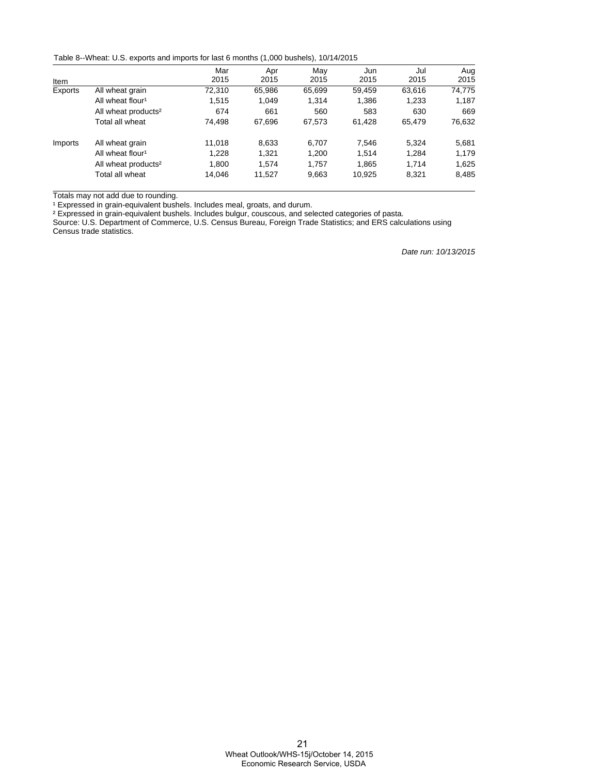Table 8--Wheat: U.S. exports and imports for last 6 months (1,000 bushels), 10/14/2015

|         |                                 | Mar    | Apr    | May    | Jun    | Jul    | Aug    |
|---------|---------------------------------|--------|--------|--------|--------|--------|--------|
| Item    |                                 | 2015   | 2015   | 2015   | 2015   | 2015   | 2015   |
| Exports | All wheat grain                 | 72,310 | 65,986 | 65,699 | 59.459 | 63,616 | 74,775 |
|         | All wheat flour <sup>1</sup>    | 1.515  | 1.049  | 1.314  | 1,386  | 1,233  | 1,187  |
|         | All wheat products <sup>2</sup> | 674    | 661    | 560    | 583    | 630    | 669    |
|         | Total all wheat                 | 74.498 | 67,696 | 67,573 | 61.428 | 65.479 | 76,632 |
| Imports | All wheat grain                 | 11.018 | 8.633  | 6.707  | 7.546  | 5.324  | 5,681  |
|         | All wheat flour <sup>1</sup>    | 1.228  | 1.321  | 1,200  | 1.514  | 1,284  | 1,179  |
|         | All wheat products <sup>2</sup> | 1.800  | 1.574  | 1.757  | 1.865  | 1.714  | 1,625  |
|         | Total all wheat                 | 14.046 | 11,527 | 9,663  | 10,925 | 8,321  | 8,485  |

Totals may not add due to rounding.

<sup>1</sup> Expressed in grain-equivalent bushels. Includes meal, groats, and durum.

² Expressed in grain-equivalent bushels. Includes bulgur, couscous, and selected categories of pasta.

Source: U.S. Department of Commerce, U.S. Census Bureau, Foreign Trade Statistics; and ERS calculations using Census trade statistics.

Date run: 10/13/2015